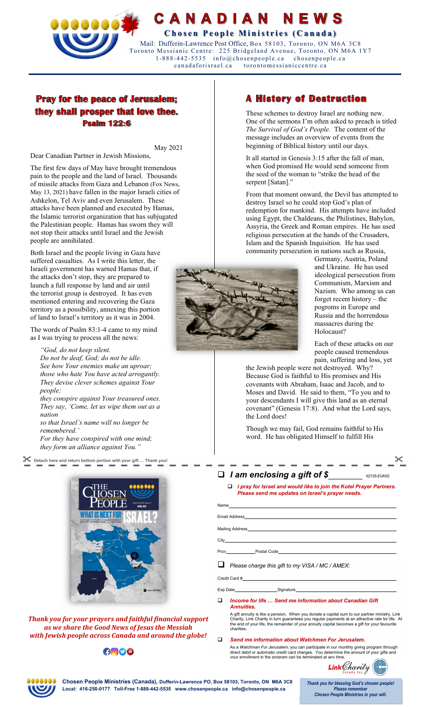

**CANADIAN NEWS** 

**Chosen People Ministries (Canada)** Mail: Dufferin-Lawrence Post Office, Box 58103, Toronto, ON M6A 3C8

Toronto Messianic Centre: 225 Bridgeland Avenue, Toronto, ON M6A 1Y7 1-888-442-5535 info@chosenpeople.ca chosenpeople.ca toron tomessianiccentre.ca

# **Pray for the peace of Jerusalem;** they shall prosper that love thee. **Psalm 122:6**

May 2021

Dear Canadian Partner in Jewish Missions,

The first few days of May have brought tremendous pain to the people and the land of Israel. Thousands of missile attacks from Gaza and Lebanon (Fox News, May 13, 2021) have fallen in the major Israeli cities of Ashkelon, Tel Aviv and even Jerusalem. These attacks have been planned and executed by Hamas, the Islamic terrorist organization that has subjugated the Palestinian people. Hamas has sworn they will not stop their attacks until Israel and the Jewish people are annihilated.

Both Israel and the people living in Gaza have suffered casualties. As I write this letter, the Israeli government has warned Hamas that, if the attacks don't stop, they are prepared to launch a full response by land and air until the terrorist group is destroyed. It has even mentioned entering and recovering the Gaza territory as a possibility, annexing this portion of land to Israel's territory as it was in 2004.

The words of Psalm 83:1-4 came to my mind as I was trying to process all the news:

*"God, do not keep silent. Do not be deaf, God; do not be idle. See how Your enemies make an uproar; those who hate You have acted arrogantly. They devise clever schemes against Your people;* 

*they conspire against Your treasured ones. They say, 'Come, let us wipe them out as a nation* 

*so that Israel's name will no longer be remembered.'* 

*For they have conspired with one mind; they form an alliance against You."* 

 **Detach here and return bottom portion with your gift … Thank you!** 



*Thank you for your prayers and faithful financial support as we share the Good News of Jesus the Messiah with Jewish people across Canada and around the globe!* 

## $\bigcirc$

# **A History of Destruction**

These schemes to destroy Israel are nothing new. One of the sermons I'm often asked to preach is titled *The Survival of God's People.* The content of the message includes an overview of events from the beginning of Biblical history until our days.

It all started in Genesis 3:15 after the fall of man, when God promised He would send someone from the seed of the woman to "strike the head of the serpent [Satan]."

From that moment onward, the Devil has attempted to destroy Israel so he could stop God's plan of redemption for mankind. His attempts have included using Egypt, the Chaldeans, the Philistines, Babylon, Assyria, the Greek and Roman empires. He has used religious persecution at the hands of the Crusaders, Islam and the Spanish Inquisition. He has used community persecution in nations such as Russia,



Germany, Austria, Poland and Ukraine. He has used ideological persecution from Communism, Marxism and Nazism. Who among us can forget recent history – the pogroms in Europe and Russia and the horrendous massacres during the Holocaust?

Each of these attacks on our people caused tremendous pain, suffering and loss, yet

the Jewish people were not destroyed. Why? Because God is faithful to His promises and His covenants with Abraham, Isaac and Jacob, and to Moses and David. He said to them, "To you and to your descendants I will give this land as an eternal covenant" (Genesis 17:8). And what the Lord says, the Lord does!

Though we may fail, God remains faithful to His word. He has obligated Himself to fulfill His

## *I am enclosing a gift of \$ N2105-EVANG*

 *I pray for Israel and would like to join the Kotel Prayer Partners. Please send me updates on Israel's prayer needs.*

Email Address

Mailing Address

Name

**City** 

Prov Postal Code

*Please charge this gift to my VISA / MC / AMEX:* 

Credit Card #

Exp Date Signature

 *Income for life … Send me information about Canadian Gift Annuities.*

A gift annuity is like a pension. When you donate a capital sum to our partner ministry, Link<br>Charity, Link Charity in turn guarantees you regular payments at an attractive rate for life. At<br>the end of your life, the rem

*Send me information about Watchmen For Jerusalem.* 

As a *Watchman For Jerusalem,* you can participate in our monthly giving program through<br>direct debit or automatic credit card charges. You determine the amount of your gifts and<br>vour enrollment in the program can be term



**Chosen People Ministries (Canada), Dufferin-Lawrence PO, Box 58103, Toronto, ON M6A 3C8 Local: 416-250-0177 Toll-Free 1-888-442-5535 www.chosenpeople.ca info@chosenpeople.ca** 

*Thank you for blessing God's chosen people! Please remember Chosen People Ministries in your will.*